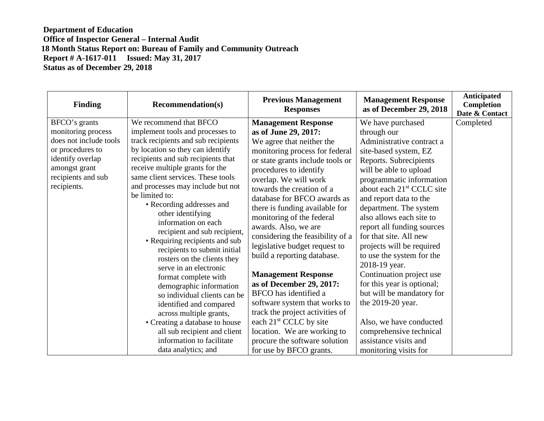## **Department of Education Office of Inspector General – Internal Audit 18 Month Status Report on: Bureau of Family and Community Outreach Report # A-1617-011 Issued: May 31, 2017 Status as of December 29, 2018**

| <b>Recommendation(s)</b>                                                                                                                                                                                                                                                                                                                                                                                                                                                                                                                                                                                                                                                                                                                                                               | <b>Previous Management</b><br><b>Responses</b>                                                                                                                                                                                                                                                                                                                                                                                                                                                                                                                                                                                                                                                                               | <b>Management Response</b><br>as of December 29, 2018                                                                                                                                                                                                                                                                                                                                                                                                                                                                                                                                                                         | <b>Anticipated</b><br><b>Completion</b><br>Date & Contact |
|----------------------------------------------------------------------------------------------------------------------------------------------------------------------------------------------------------------------------------------------------------------------------------------------------------------------------------------------------------------------------------------------------------------------------------------------------------------------------------------------------------------------------------------------------------------------------------------------------------------------------------------------------------------------------------------------------------------------------------------------------------------------------------------|------------------------------------------------------------------------------------------------------------------------------------------------------------------------------------------------------------------------------------------------------------------------------------------------------------------------------------------------------------------------------------------------------------------------------------------------------------------------------------------------------------------------------------------------------------------------------------------------------------------------------------------------------------------------------------------------------------------------------|-------------------------------------------------------------------------------------------------------------------------------------------------------------------------------------------------------------------------------------------------------------------------------------------------------------------------------------------------------------------------------------------------------------------------------------------------------------------------------------------------------------------------------------------------------------------------------------------------------------------------------|-----------------------------------------------------------|
| We recommend that BFCO<br>implement tools and processes to<br>track recipients and sub recipients<br>by location so they can identify<br>recipients and sub recipients that<br>receive multiple grants for the<br>same client services. These tools<br>and processes may include but not<br>be limited to:<br>• Recording addresses and<br>other identifying<br>information on each<br>recipient and sub recipient,<br>• Requiring recipients and sub<br>recipients to submit initial<br>rosters on the clients they<br>serve in an electronic<br>format complete with<br>demographic information<br>so individual clients can be<br>identified and compared<br>across multiple grants,<br>• Creating a database to house<br>all sub recipient and client<br>information to facilitate | <b>Management Response</b><br>as of June 29, 2017:<br>We agree that neither the<br>monitoring process for federal<br>or state grants include tools or<br>procedures to identify<br>overlap. We will work<br>towards the creation of a<br>database for BFCO awards as<br>there is funding available for<br>monitoring of the federal<br>awards. Also, we are<br>considering the feasibility of a<br>legislative budget request to<br>build a reporting database.<br><b>Management Response</b><br>as of December 29, 2017:<br>BFCO has identified a<br>software system that works to<br>track the project activities of<br>each 21 <sup>st</sup> CCLC by site<br>location. We are working to<br>procure the software solution | We have purchased<br>through our<br>Administrative contract a<br>site-based system, EZ<br>Reports. Subrecipients<br>will be able to upload<br>programmatic information<br>about each 21 <sup>st</sup> CCLC site<br>and report data to the<br>department. The system<br>also allows each site to<br>report all funding sources<br>for that site. All new<br>projects will be required<br>to use the system for the<br>2018-19 year.<br>Continuation project use<br>for this year is optional;<br>but will be mandatory for<br>the 2019-20 year.<br>Also, we have conducted<br>comprehensive technical<br>assistance visits and | Completed                                                 |
|                                                                                                                                                                                                                                                                                                                                                                                                                                                                                                                                                                                                                                                                                                                                                                                        | data analytics; and                                                                                                                                                                                                                                                                                                                                                                                                                                                                                                                                                                                                                                                                                                          | for use by BFCO grants.                                                                                                                                                                                                                                                                                                                                                                                                                                                                                                                                                                                                       | monitoring visits for                                     |